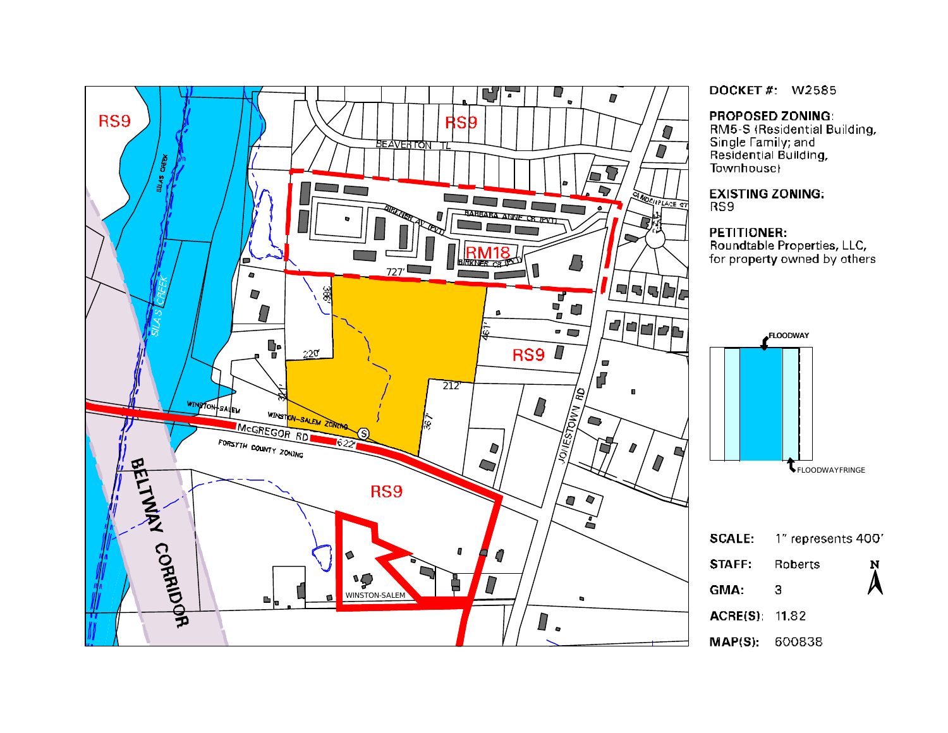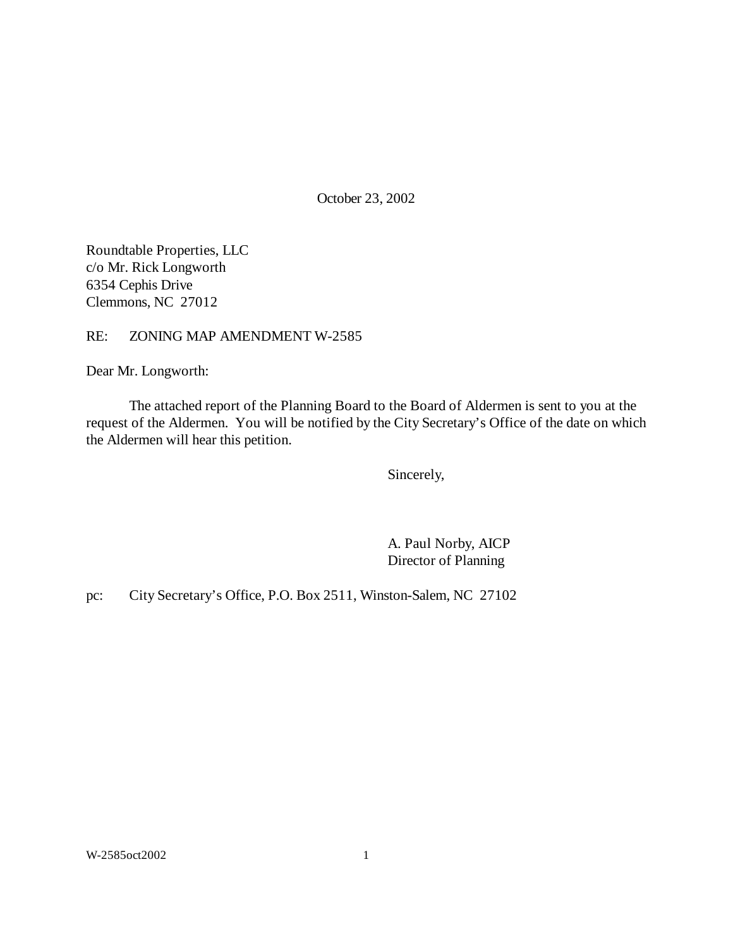October 23, 2002

Roundtable Properties, LLC c/o Mr. Rick Longworth 6354 Cephis Drive Clemmons, NC 27012

RE: ZONING MAP AMENDMENT W-2585

Dear Mr. Longworth:

The attached report of the Planning Board to the Board of Aldermen is sent to you at the request of the Aldermen. You will be notified by the City Secretary's Office of the date on which the Aldermen will hear this petition.

Sincerely,

A. Paul Norby, AICP Director of Planning

pc: City Secretary's Office, P.O. Box 2511, Winston-Salem, NC 27102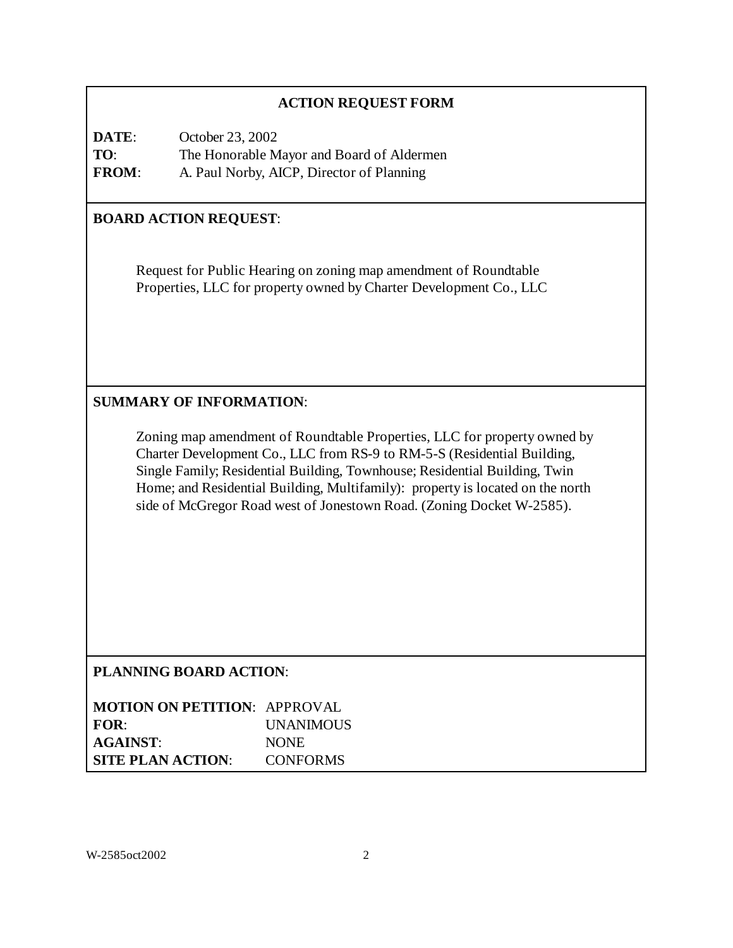## **ACTION REQUEST FORM**

**DATE**: October 23, 2002 **TO**: The Honorable Mayor and Board of Aldermen **FROM**: A. Paul Norby, AICP, Director of Planning

## **BOARD ACTION REQUEST**:

Request for Public Hearing on zoning map amendment of Roundtable Properties, LLC for property owned by Charter Development Co., LLC

## **SUMMARY OF INFORMATION**:

Zoning map amendment of Roundtable Properties, LLC for property owned by Charter Development Co., LLC from RS-9 to RM-5-S (Residential Building, Single Family; Residential Building, Townhouse; Residential Building, Twin Home; and Residential Building, Multifamily): property is located on the north side of McGregor Road west of Jonestown Road. (Zoning Docket W-2585).

## **PLANNING BOARD ACTION**:

| <b>MOTION ON PETITION: APPROVAL</b> |                  |
|-------------------------------------|------------------|
| FOR:                                | <b>UNANIMOUS</b> |
| <b>AGAINST:</b>                     | <b>NONE</b>      |
| <b>SITE PLAN ACTION:</b>            | <b>CONFORMS</b>  |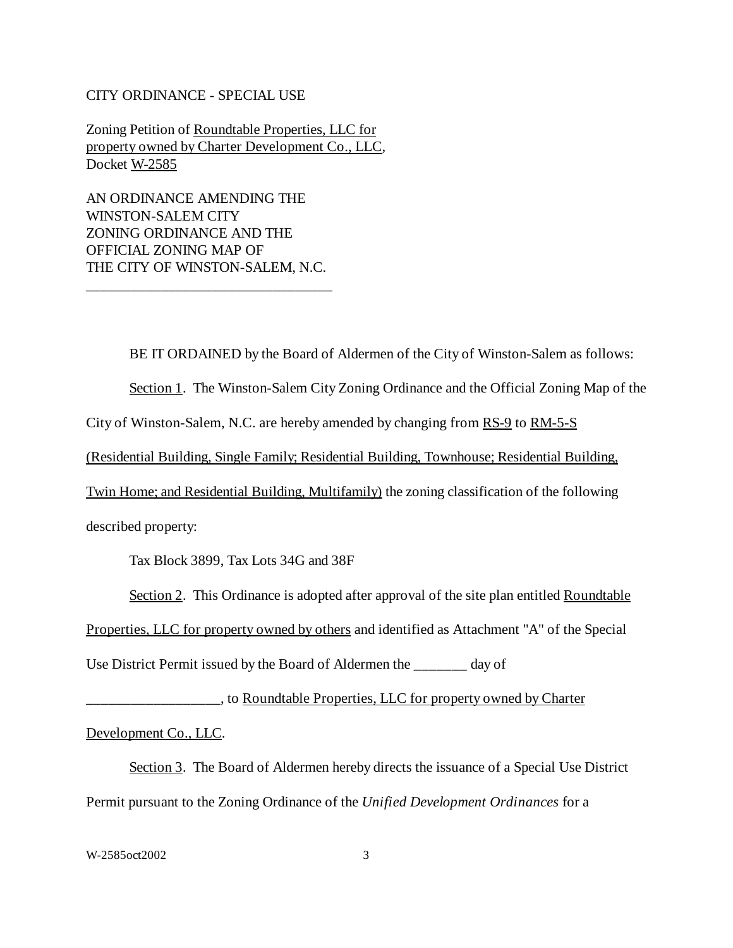#### CITY ORDINANCE - SPECIAL USE

Zoning Petition of Roundtable Properties, LLC for property owned by Charter Development Co., LLC, Docket W-2585

AN ORDINANCE AMENDING THE WINSTON-SALEM CITY ZONING ORDINANCE AND THE OFFICIAL ZONING MAP OF THE CITY OF WINSTON-SALEM, N.C.

\_\_\_\_\_\_\_\_\_\_\_\_\_\_\_\_\_\_\_\_\_\_\_\_\_\_\_\_\_\_\_\_\_

BE IT ORDAINED by the Board of Aldermen of the City of Winston-Salem as follows:

Section 1. The Winston-Salem City Zoning Ordinance and the Official Zoning Map of the

City of Winston-Salem, N.C. are hereby amended by changing from RS-9 to RM-5-S

(Residential Building, Single Family; Residential Building, Townhouse; Residential Building,

Twin Home; and Residential Building, Multifamily) the zoning classification of the following

described property:

Tax Block 3899, Tax Lots 34G and 38F

Section 2. This Ordinance is adopted after approval of the site plan entitled Roundtable

Properties, LLC for property owned by others and identified as Attachment "A" of the Special

Use District Permit issued by the Board of Aldermen the \_\_\_\_\_\_\_ day of

\_\_\_\_\_\_\_\_\_\_\_\_\_\_\_\_\_\_, to Roundtable Properties, LLC for property owned by Charter

Development Co., LLC.

Section 3. The Board of Aldermen hereby directs the issuance of a Special Use District Permit pursuant to the Zoning Ordinance of the *Unified Development Ordinances* for a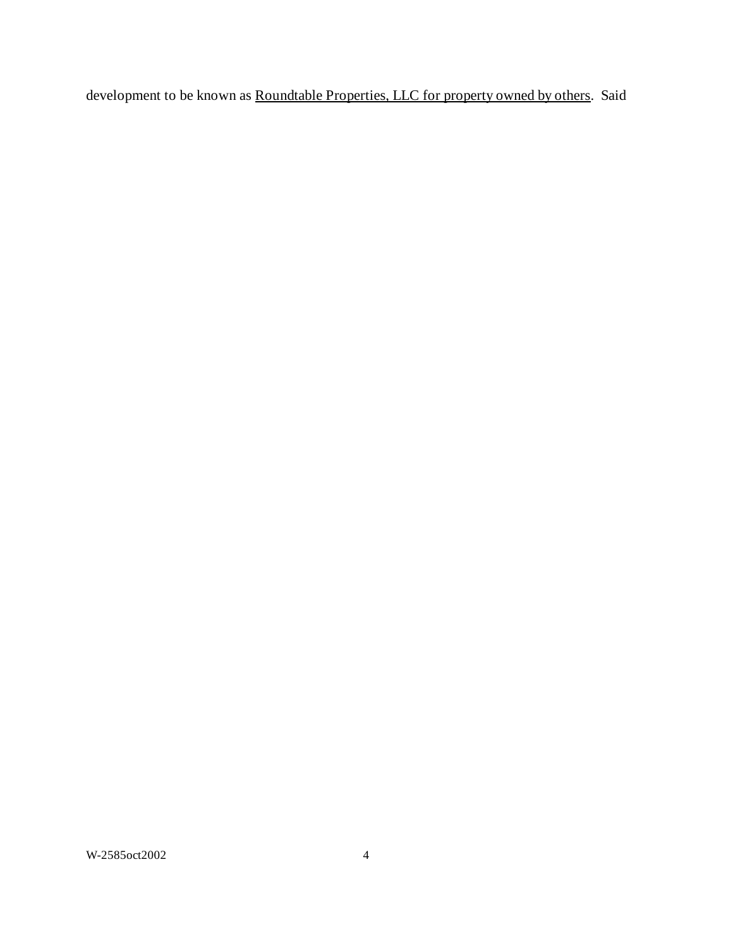development to be known as **Roundtable Properties, LLC** for property owned by others. Said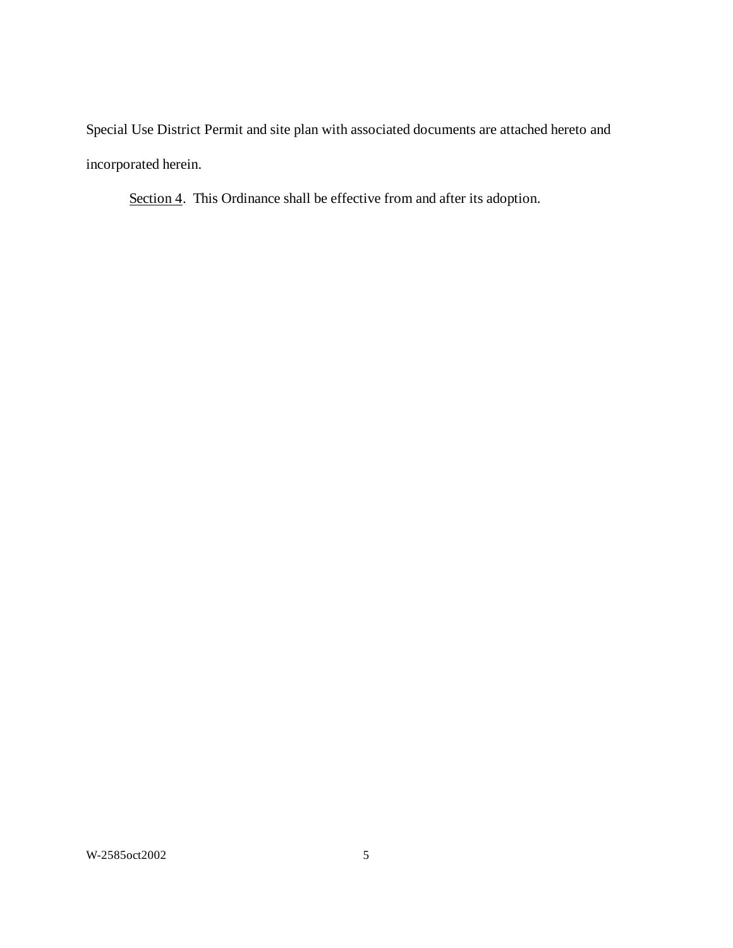Special Use District Permit and site plan with associated documents are attached hereto and incorporated herein.

Section 4. This Ordinance shall be effective from and after its adoption.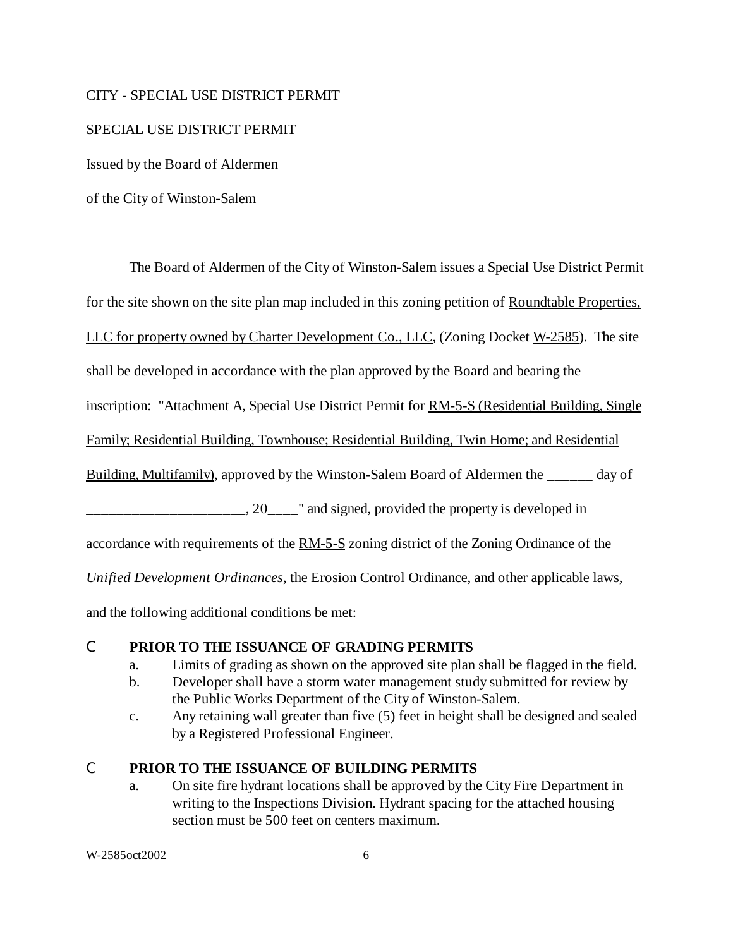#### CITY - SPECIAL USE DISTRICT PERMIT

### SPECIAL USE DISTRICT PERMIT

Issued by the Board of Aldermen

of the City of Winston-Salem

The Board of Aldermen of the City of Winston-Salem issues a Special Use District Permit

for the site shown on the site plan map included in this zoning petition of Roundtable Properties.

LLC for property owned by Charter Development Co., LLC, (Zoning Docket W-2585). The site

shall be developed in accordance with the plan approved by the Board and bearing the

inscription: "Attachment A, Special Use District Permit for RM-5-S (Residential Building, Single

Family; Residential Building, Townhouse; Residential Building, Twin Home; and Residential

Building, Multifamily), approved by the Winston-Salem Board of Aldermen the day of

\_\_\_\_\_\_\_\_\_\_\_\_\_\_\_\_\_\_\_\_\_, 20\_\_\_\_" and signed, provided the property is developed in

accordance with requirements of the RM-5-S zoning district of the Zoning Ordinance of the

*Unified Development Ordinances*, the Erosion Control Ordinance, and other applicable laws,

and the following additional conditions be met:

## C **PRIOR TO THE ISSUANCE OF GRADING PERMITS**

- a. Limits of grading as shown on the approved site plan shall be flagged in the field.
- b. Developer shall have a storm water management study submitted for review by the Public Works Department of the City of Winston-Salem.
- c. Any retaining wall greater than five (5) feet in height shall be designed and sealed by a Registered Professional Engineer.

# C **PRIOR TO THE ISSUANCE OF BUILDING PERMITS**

a. On site fire hydrant locations shall be approved by the City Fire Department in writing to the Inspections Division. Hydrant spacing for the attached housing section must be 500 feet on centers maximum.

W-2585oct2002 6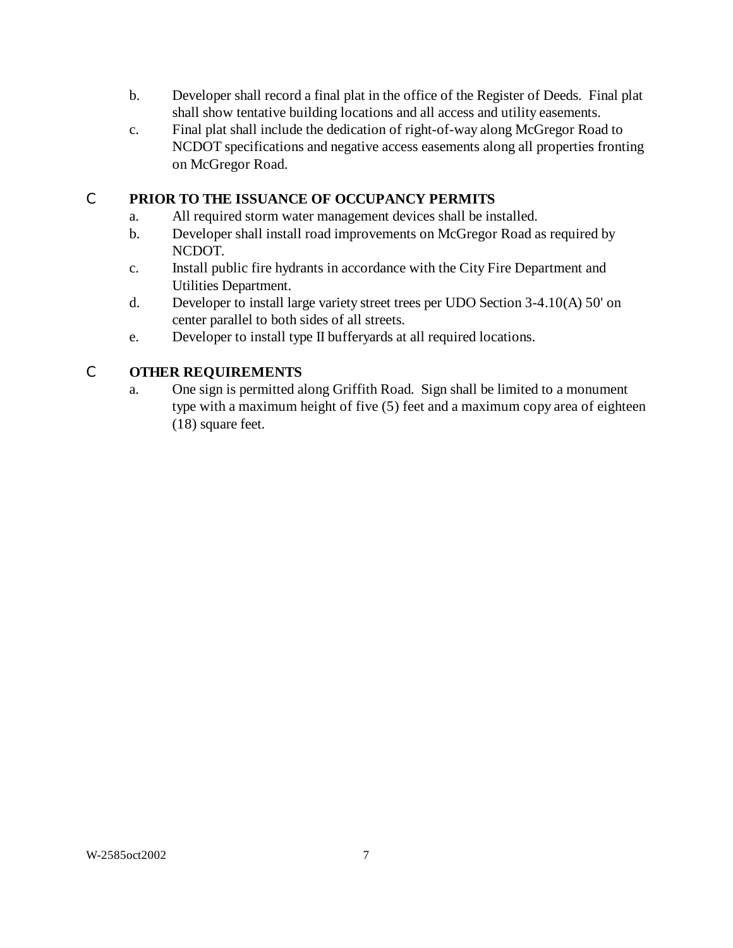- b. Developer shall record a final plat in the office of the Register of Deeds. Final plat shall show tentative building locations and all access and utility easements.
- c. Final plat shall include the dedication of right-of-way along McGregor Road to NCDOT specifications and negative access easements along all properties fronting on McGregor Road.

# C **PRIOR TO THE ISSUANCE OF OCCUPANCY PERMITS**

- a. All required storm water management devices shall be installed.
- b. Developer shall install road improvements on McGregor Road as required by NCDOT.
- c. Install public fire hydrants in accordance with the City Fire Department and Utilities Department.
- d. Developer to install large variety street trees per UDO Section 3-4.10(A) 50' on center parallel to both sides of all streets.
- e. Developer to install type II bufferyards at all required locations.

# C **OTHER REQUIREMENTS**

a. One sign is permitted along Griffith Road. Sign shall be limited to a monument type with a maximum height of five (5) feet and a maximum copy area of eighteen (18) square feet.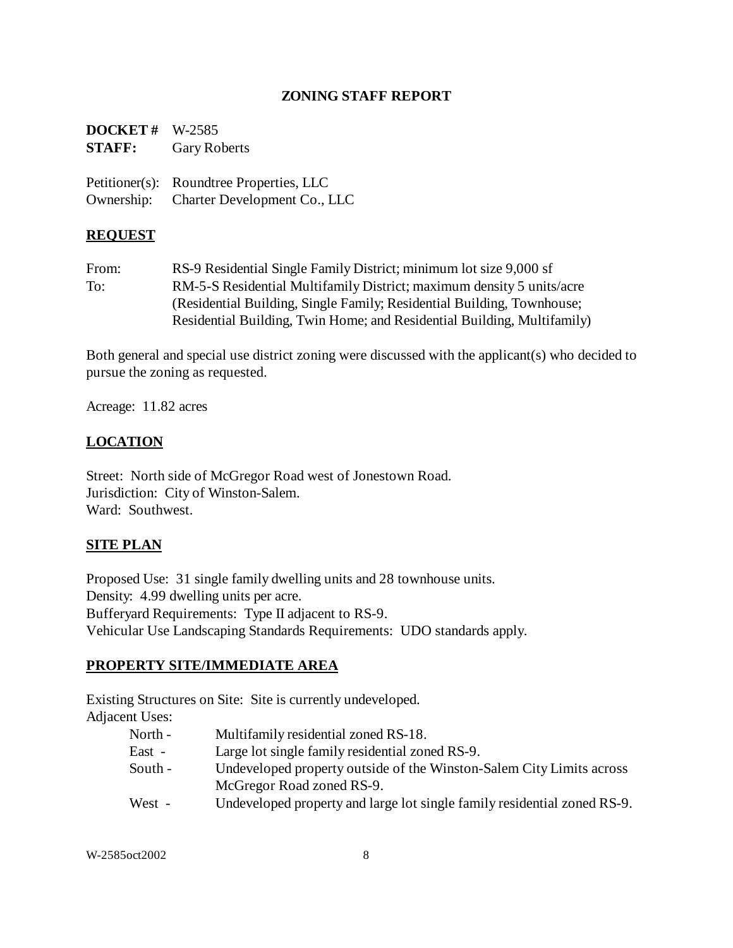## **ZONING STAFF REPORT**

| $DOCKET # W-2585$<br><b>STAFF:</b> | <b>Gary Roberts</b>                      |
|------------------------------------|------------------------------------------|
|                                    | Petitioner(s): Roundtree Properties, LLC |
|                                    | Ownership: Charter Development Co., LLC  |

## **REQUEST**

From: RS-9 Residential Single Family District; minimum lot size 9,000 sf To: RM-5-S Residential Multifamily District; maximum density 5 units/acre (Residential Building, Single Family; Residential Building, Townhouse; Residential Building, Twin Home; and Residential Building, Multifamily)

Both general and special use district zoning were discussed with the applicant(s) who decided to pursue the zoning as requested.

Acreage: 11.82 acres

## **LOCATION**

Street: North side of McGregor Road west of Jonestown Road. Jurisdiction: City of Winston-Salem. Ward: Southwest.

## **SITE PLAN**

Proposed Use: 31 single family dwelling units and 28 townhouse units. Density: 4.99 dwelling units per acre. Bufferyard Requirements: Type II adjacent to RS-9. Vehicular Use Landscaping Standards Requirements: UDO standards apply.

# **PROPERTY SITE/IMMEDIATE AREA**

Existing Structures on Site: Site is currently undeveloped.

Adjacent Uses:

- North Multifamily residential zoned RS-18.
- East Large lot single family residential zoned RS-9.
- South Undeveloped property outside of the Winston-Salem City Limits across McGregor Road zoned RS-9.
- West Undeveloped property and large lot single family residential zoned RS-9.

W-2585oct2002 8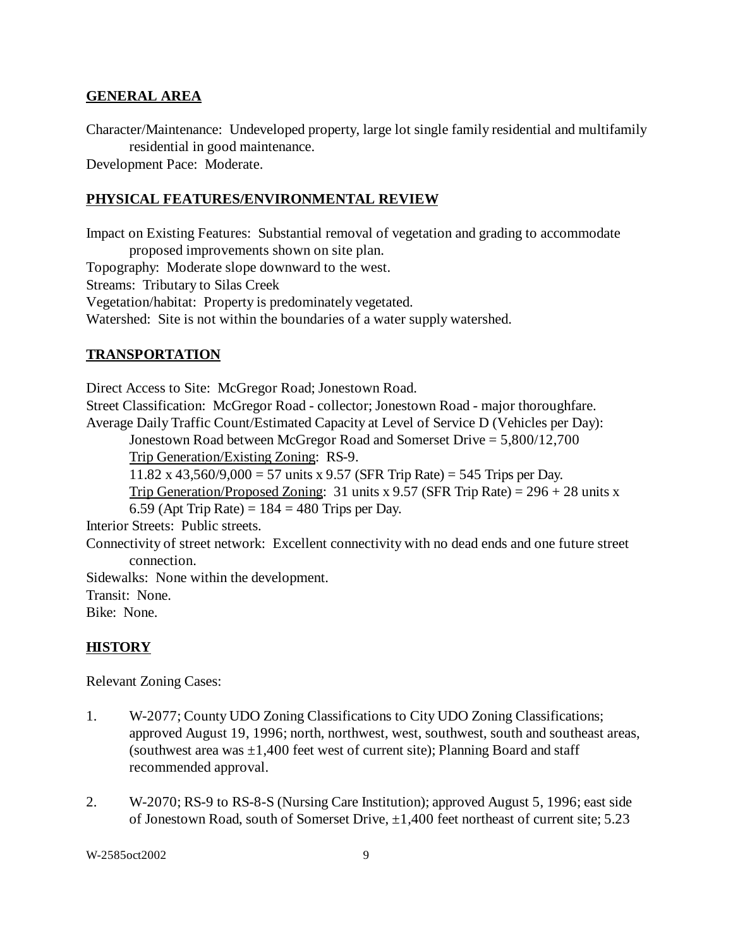#### **GENERAL AREA**

Character/Maintenance: Undeveloped property, large lot single family residential and multifamily residential in good maintenance.

Development Pace: Moderate.

#### **PHYSICAL FEATURES/ENVIRONMENTAL REVIEW**

Impact on Existing Features: Substantial removal of vegetation and grading to accommodate proposed improvements shown on site plan.

Topography: Moderate slope downward to the west.

Streams: Tributary to Silas Creek

Vegetation/habitat: Property is predominately vegetated.

Watershed: Site is not within the boundaries of a water supply watershed.

#### **TRANSPORTATION**

Direct Access to Site: McGregor Road; Jonestown Road. Street Classification: McGregor Road - collector; Jonestown Road - major thoroughfare. Average Daily Traffic Count/Estimated Capacity at Level of Service D (Vehicles per Day): Jonestown Road between McGregor Road and Somerset Drive = 5,800/12,700 Trip Generation/Existing Zoning: RS-9. 11.82 x 43,560/9,000 = 57 units x 9.57 (SFR Trip Rate) = 545 Trips per Day. Trip Generation/Proposed Zoning: 31 units x 9.57 (SFR Trip Rate) =  $296 + 28$  units x 6.59 (Apt Trip Rate) =  $184 = 480$  Trips per Day. Interior Streets: Public streets. Connectivity of street network: Excellent connectivity with no dead ends and one future street connection. Sidewalks: None within the development.

Transit: None.

Bike: None.

#### **HISTORY**

Relevant Zoning Cases:

- 1. W-2077; County UDO Zoning Classifications to City UDO Zoning Classifications; approved August 19, 1996; north, northwest, west, southwest, south and southeast areas, (southwest area was  $\pm 1,400$  feet west of current site); Planning Board and staff recommended approval.
- 2. W-2070; RS-9 to RS-8-S (Nursing Care Institution); approved August 5, 1996; east side of Jonestown Road, south of Somerset Drive, ±1,400 feet northeast of current site; 5.23

W-2585oct2002 9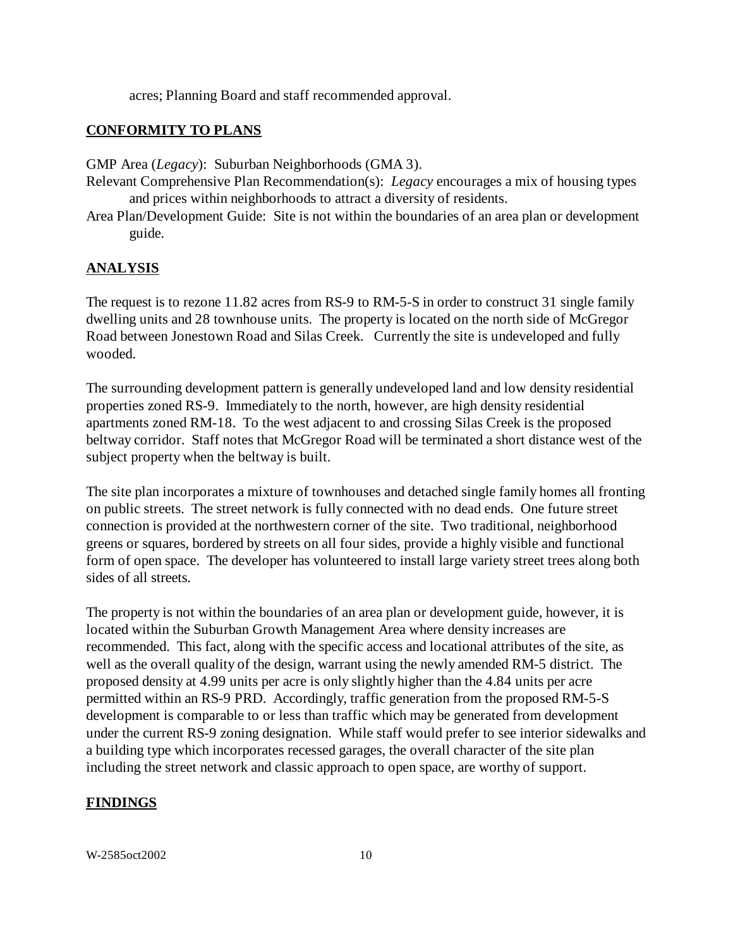acres; Planning Board and staff recommended approval.

#### **CONFORMITY TO PLANS**

GMP Area (*Legacy*): Suburban Neighborhoods (GMA 3).

- Relevant Comprehensive Plan Recommendation(s): *Legacy* encourages a mix of housing types and prices within neighborhoods to attract a diversity of residents.
- Area Plan/Development Guide: Site is not within the boundaries of an area plan or development guide.

#### **ANALYSIS**

The request is to rezone 11.82 acres from RS-9 to RM-5-S in order to construct 31 single family dwelling units and 28 townhouse units. The property is located on the north side of McGregor Road between Jonestown Road and Silas Creek. Currently the site is undeveloped and fully wooded.

The surrounding development pattern is generally undeveloped land and low density residential properties zoned RS-9. Immediately to the north, however, are high density residential apartments zoned RM-18. To the west adjacent to and crossing Silas Creek is the proposed beltway corridor. Staff notes that McGregor Road will be terminated a short distance west of the subject property when the beltway is built.

The site plan incorporates a mixture of townhouses and detached single family homes all fronting on public streets. The street network is fully connected with no dead ends. One future street connection is provided at the northwestern corner of the site. Two traditional, neighborhood greens or squares, bordered by streets on all four sides, provide a highly visible and functional form of open space. The developer has volunteered to install large variety street trees along both sides of all streets.

The property is not within the boundaries of an area plan or development guide, however, it is located within the Suburban Growth Management Area where density increases are recommended. This fact, along with the specific access and locational attributes of the site, as well as the overall quality of the design, warrant using the newly amended RM-5 district. The proposed density at 4.99 units per acre is only slightly higher than the 4.84 units per acre permitted within an RS-9 PRD. Accordingly, traffic generation from the proposed RM-5-S development is comparable to or less than traffic which may be generated from development under the current RS-9 zoning designation. While staff would prefer to see interior sidewalks and a building type which incorporates recessed garages, the overall character of the site plan including the street network and classic approach to open space, are worthy of support.

#### **FINDINGS**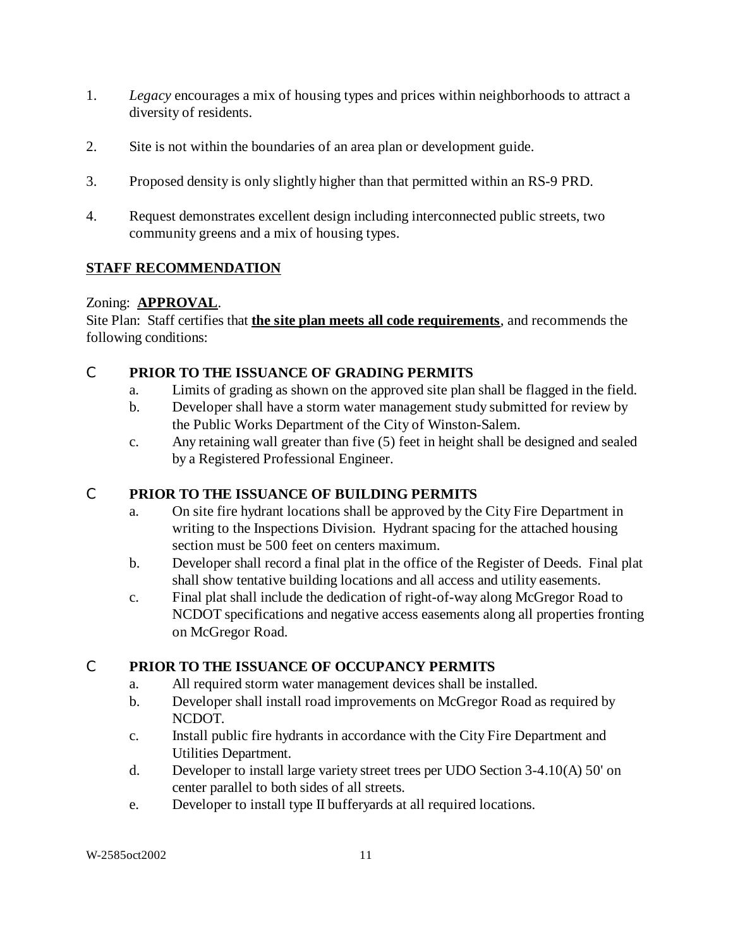- 1. *Legacy* encourages a mix of housing types and prices within neighborhoods to attract a diversity of residents.
- 2. Site is not within the boundaries of an area plan or development guide.
- 3. Proposed density is only slightly higher than that permitted within an RS-9 PRD.
- 4. Request demonstrates excellent design including interconnected public streets, two community greens and a mix of housing types.

# **STAFF RECOMMENDATION**

## Zoning: **APPROVAL**.

Site Plan: Staff certifies that **the site plan meets all code requirements**, and recommends the following conditions:

# C **PRIOR TO THE ISSUANCE OF GRADING PERMITS**

- a. Limits of grading as shown on the approved site plan shall be flagged in the field.
- b. Developer shall have a storm water management study submitted for review by the Public Works Department of the City of Winston-Salem.
- c. Any retaining wall greater than five (5) feet in height shall be designed and sealed by a Registered Professional Engineer.

# C **PRIOR TO THE ISSUANCE OF BUILDING PERMITS**

- a. On site fire hydrant locations shall be approved by the City Fire Department in writing to the Inspections Division. Hydrant spacing for the attached housing section must be 500 feet on centers maximum.
- b. Developer shall record a final plat in the office of the Register of Deeds. Final plat shall show tentative building locations and all access and utility easements.
- c. Final plat shall include the dedication of right-of-way along McGregor Road to NCDOT specifications and negative access easements along all properties fronting on McGregor Road.

# C **PRIOR TO THE ISSUANCE OF OCCUPANCY PERMITS**

- a. All required storm water management devices shall be installed.
- b. Developer shall install road improvements on McGregor Road as required by NCDOT.
- c. Install public fire hydrants in accordance with the City Fire Department and Utilities Department.
- d. Developer to install large variety street trees per UDO Section 3-4.10(A) 50' on center parallel to both sides of all streets.
- e. Developer to install type II bufferyards at all required locations.